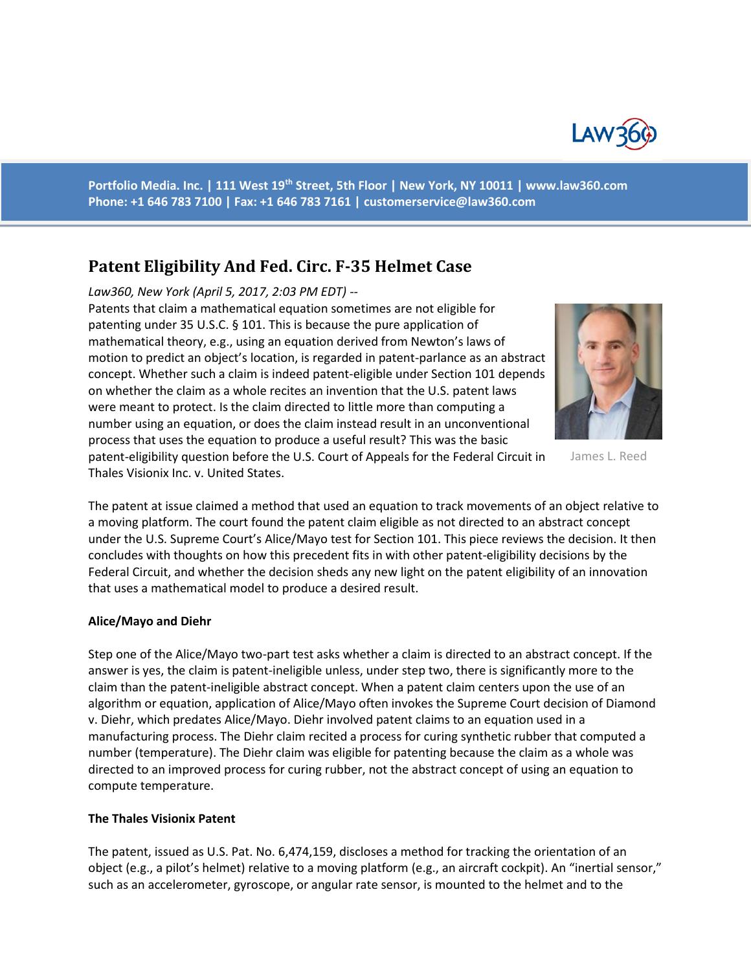

**Portfolio Media. Inc. | 111 West 19th Street, 5th Floor | New York, NY 10011 | www.law360.com Phone: +1 646 783 7100 | Fax: +1 646 783 7161 | [customerservice@law360.com](mailto:customerservice@law360.com)**

# **Patent Eligibility And Fed. Circ. F-35 Helmet Case**

## *Law360, New York (April 5, 2017, 2:03 PM EDT) --*

Patents that claim a mathematical equation sometimes are not eligible for patenting under 35 U.S.C. § 101. This is because the pure application of mathematical theory, e.g., using an equation derived from Newton's laws of motion to predict an object's location, is regarded in patent-parlance as an abstract concept. Whether such a claim is indeed patent-eligible under Section 101 depends on whether the claim as a whole recites an invention that the U.S. patent laws were meant to protect. Is the claim directed to little more than computing a number using an equation, or does the claim instead result in an unconventional process that uses the equation to produce a useful result? This was the basic patent-eligibility question before the U.S. Court of Appeals for the Federal Circuit in Thales Visionix Inc. v. United States.



James L. Reed

The patent at issue claimed a method that used an equation to track movements of an object relative to a moving platform. The court found the patent claim eligible as not directed to an abstract concept under the U.S. Supreme Court's Alice/Mayo test for Section 101. This piece reviews the decision. It then concludes with thoughts on how this precedent fits in with other patent-eligibility decisions by the Federal Circuit, and whether the decision sheds any new light on the patent eligibility of an innovation that uses a mathematical model to produce a desired result.

#### **Alice/Mayo and Diehr**

Step one of the Alice/Mayo two-part test asks whether a claim is directed to an abstract concept. If the answer is yes, the claim is patent-ineligible unless, under step two, there is significantly more to the claim than the patent-ineligible abstract concept. When a patent claim centers upon the use of an algorithm or equation, application of Alice/Mayo often invokes the Supreme Court decision of Diamond v. Diehr, which predates Alice/Mayo. Diehr involved patent claims to an equation used in a manufacturing process. The Diehr claim recited a process for curing synthetic rubber that computed a number (temperature). The Diehr claim was eligible for patenting because the claim as a whole was directed to an improved process for curing rubber, not the abstract concept of using an equation to compute temperature.

#### **The Thales Visionix Patent**

The patent, issued as U.S. Pat. No. 6,474,159, discloses a method for tracking the orientation of an object (e.g., a pilot's helmet) relative to a moving platform (e.g., an aircraft cockpit). An "inertial sensor," such as an accelerometer, gyroscope, or angular rate sensor, is mounted to the helmet and to the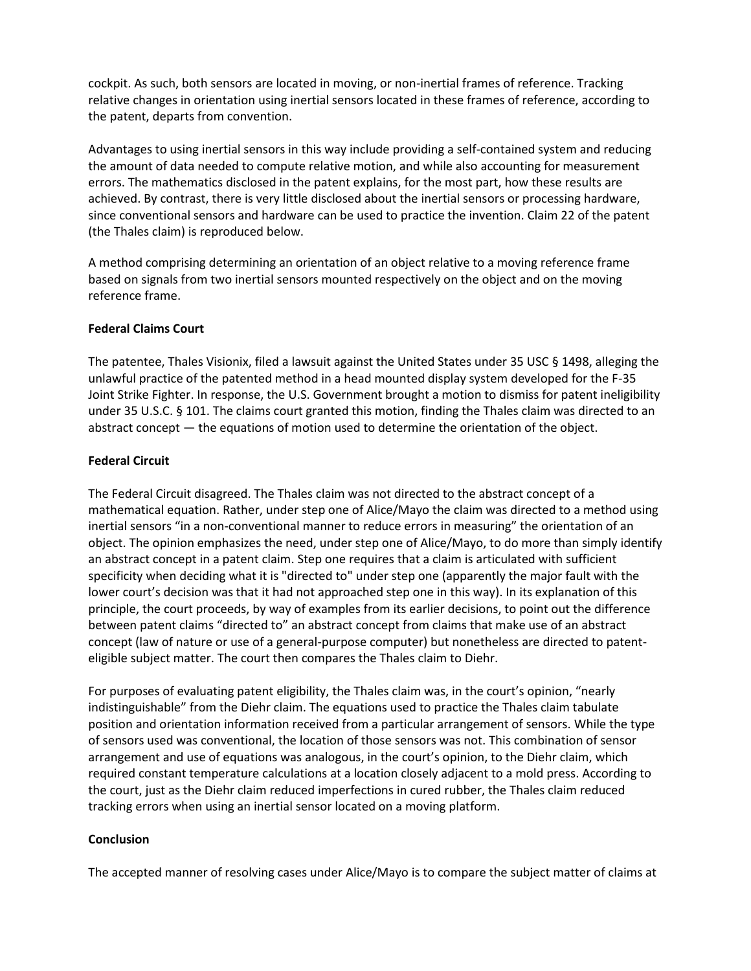cockpit. As such, both sensors are located in moving, or non-inertial frames of reference. Tracking relative changes in orientation using inertial sensors located in these frames of reference, according to the patent, departs from convention.

Advantages to using inertial sensors in this way include providing a self-contained system and reducing the amount of data needed to compute relative motion, and while also accounting for measurement errors. The mathematics disclosed in the patent explains, for the most part, how these results are achieved. By contrast, there is very little disclosed about the inertial sensors or processing hardware, since conventional sensors and hardware can be used to practice the invention. Claim 22 of the patent (the Thales claim) is reproduced below.

A method comprising determining an orientation of an object relative to a moving reference frame based on signals from two inertial sensors mounted respectively on the object and on the moving reference frame.

## **Federal Claims Court**

The patentee, Thales Visionix, filed a lawsuit against the United States under 35 USC § 1498, alleging the unlawful practice of the patented method in a head mounted display system developed for the F-35 Joint Strike Fighter. In response, the U.S. Government brought a motion to dismiss for patent ineligibility under 35 U.S.C. § 101. The claims court granted this motion, finding the Thales claim was directed to an abstract concept — the equations of motion used to determine the orientation of the object.

## **Federal Circuit**

The Federal Circuit disagreed. The Thales claim was not directed to the abstract concept of a mathematical equation. Rather, under step one of Alice/Mayo the claim was directed to a method using inertial sensors "in a non-conventional manner to reduce errors in measuring" the orientation of an object. The opinion emphasizes the need, under step one of Alice/Mayo, to do more than simply identify an abstract concept in a patent claim. Step one requires that a claim is articulated with sufficient specificity when deciding what it is "directed to" under step one (apparently the major fault with the lower court's decision was that it had not approached step one in this way). In its explanation of this principle, the court proceeds, by way of examples from its earlier decisions, to point out the difference between patent claims "directed to" an abstract concept from claims that make use of an abstract concept (law of nature or use of a general-purpose computer) but nonetheless are directed to patenteligible subject matter. The court then compares the Thales claim to Diehr.

For purposes of evaluating patent eligibility, the Thales claim was, in the court's opinion, "nearly indistinguishable" from the Diehr claim. The equations used to practice the Thales claim tabulate position and orientation information received from a particular arrangement of sensors. While the type of sensors used was conventional, the location of those sensors was not. This combination of sensor arrangement and use of equations was analogous, in the court's opinion, to the Diehr claim, which required constant temperature calculations at a location closely adjacent to a mold press. According to the court, just as the Diehr claim reduced imperfections in cured rubber, the Thales claim reduced tracking errors when using an inertial sensor located on a moving platform.

# **Conclusion**

The accepted manner of resolving cases under Alice/Mayo is to compare the subject matter of claims at